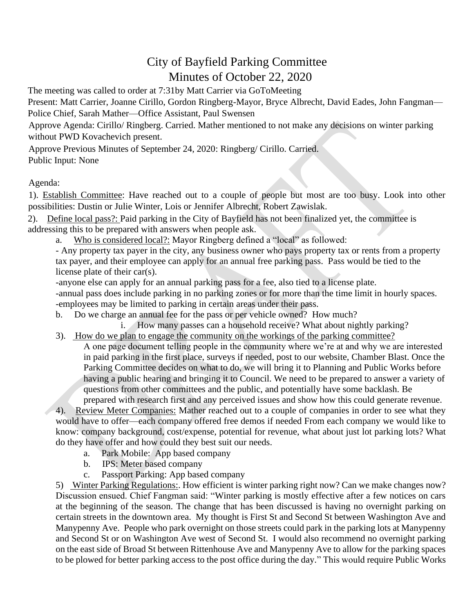## City of Bayfield Parking Committee Minutes of October 22, 2020

The meeting was called to order at 7:31by Matt Carrier via GoToMeeting Present: Matt Carrier, Joanne Cirillo, Gordon Ringberg-Mayor, Bryce Albrecht, David Eades, John Fangman— Police Chief, Sarah Mather—Office Assistant, Paul Swensen

Approve Agenda: Cirillo/ Ringberg. Carried. Mather mentioned to not make any decisions on winter parking without PWD Kovachevich present.

Approve Previous Minutes of September 24, 2020: Ringberg/ Cirillo. Carried. Public Input: None

Agenda:

1). Establish Committee: Have reached out to a couple of people but most are too busy. Look into other possibilities: Dustin or Julie Winter, Lois or Jennifer Albrecht, Robert Zawislak.

2). Define local pass?: Paid parking in the City of Bayfield has not been finalized yet, the committee is addressing this to be prepared with answers when people ask.

a. Who is considered local?: Mayor Ringberg defined a "local" as followed:

- Any property tax payer in the city, any business owner who pays property tax or rents from a property tax payer, and their employee can apply for an annual free parking pass. Pass would be tied to the license plate of their car(s).

-anyone else can apply for an annual parking pass for a fee, also tied to a license plate.

-annual pass does include parking in no parking zones or for more than the time limit in hourly spaces. -employees may be limited to parking in certain areas under their pass.

b. Do we charge an annual fee for the pass or per vehicle owned? How much?

i. How many passes can a household receive? What about nightly parking?

3). How do we plan to engage the community on the workings of the parking committee?

A one page document telling people in the community where we're at and why we are interested in paid parking in the first place, surveys if needed, post to our website, Chamber Blast. Once the Parking Committee decides on what to do, we will bring it to Planning and Public Works before having a public hearing and bringing it to Council. We need to be prepared to answer a variety of questions from other committees and the public, and potentially have some backlash. Be

prepared with research first and any perceived issues and show how this could generate revenue.

4). Review Meter Companies: Mather reached out to a couple of companies in order to see what they would have to offer—each company offered free demos if needed From each company we would like to know: company background, cost/expense, potential for revenue, what about just lot parking lots? What do they have offer and how could they best suit our needs.

- a. Park Mobile: App based company
- b. IPS: Meter based company
- c. Passport Parking: App based company

5) Winter Parking Regulations:. How efficient is winter parking right now? Can we make changes now? Discussion ensued. Chief Fangman said: "Winter parking is mostly effective after a few notices on cars at the beginning of the season. The change that has been discussed is having no overnight parking on certain streets in the downtown area. My thought is First St and Second St between Washington Ave and Manypenny Ave. People who park overnight on those streets could park in the parking lots at Manypenny and Second St or on Washington Ave west of Second St. I would also recommend no overnight parking on the east side of Broad St between Rittenhouse Ave and Manypenny Ave to allow for the parking spaces to be plowed for better parking access to the post office during the day." This would require Public Works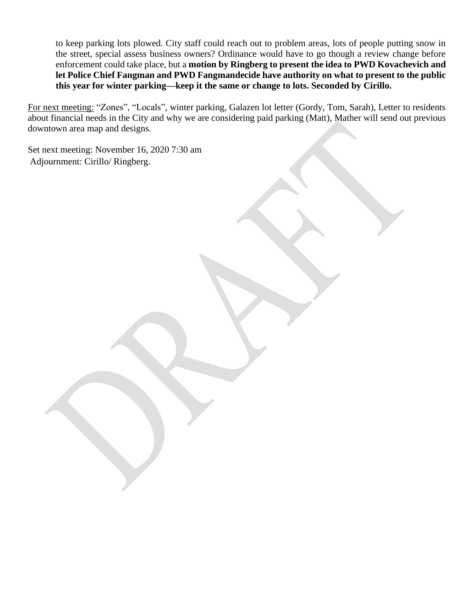to keep parking lots plowed. City staff could reach out to problem areas, lots of people putting snow in the street, special assess business owners? Ordinance would have to go though a review change before enforcement could take place, but a **motion by Ringberg to present the idea to PWD Kovachevich and let Police Chief Fangman and PWD Fangmandecide have authority on what to present to the public this year for winter parking—keep it the same or change to lots. Seconded by Cirillo.**

For next meeting: "Zones", "Locals", winter parking, Galazen lot letter (Gordy, Tom, Sarah), Letter to residents about financial needs in the City and why we are considering paid parking (Matt), Mather will send out previous downtown area map and designs.

Set next meeting: November 16, 2020 7:30 am Adjournment: Cirillo/ Ringberg.